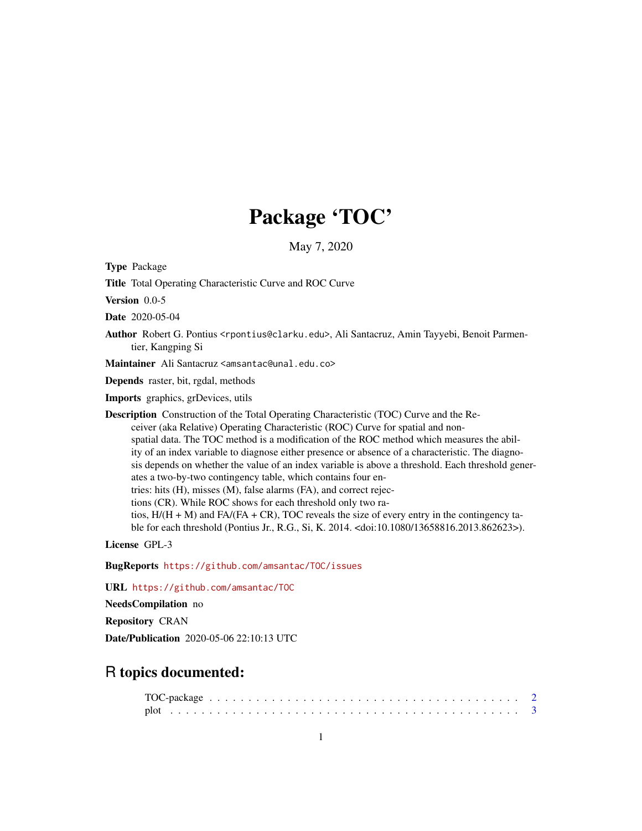# Package 'TOC'

May 7, 2020

Type Package

Title Total Operating Characteristic Curve and ROC Curve

Version 0.0-5

Date 2020-05-04

Author Robert G. Pontius <rpontius@clarku.edu>, Ali Santacruz, Amin Tayyebi, Benoit Parmentier, Kangping Si

Maintainer Ali Santacruz <amsantac@unal.edu.co>

Depends raster, bit, rgdal, methods

Imports graphics, grDevices, utils

Description Construction of the Total Operating Characteristic (TOC) Curve and the Receiver (aka Relative) Operating Characteristic (ROC) Curve for spatial and nonspatial data. The TOC method is a modification of the ROC method which measures the ability of an index variable to diagnose either presence or absence of a characteristic. The diagnosis depends on whether the value of an index variable is above a threshold. Each threshold generates a two-by-two contingency table, which contains four entries: hits (H), misses (M), false alarms (FA), and correct rejections (CR). While ROC shows for each threshold only two ratios,  $H/(H + M)$  and  $FA/(FA + CR)$ , TOC reveals the size of every entry in the contingency table for each threshold (Pontius Jr., R.G., Si, K. 2014. <doi:10.1080/13658816.2013.862623>).

License GPL-3

BugReports <https://github.com/amsantac/TOC/issues>

URL <https://github.com/amsantac/TOC>

NeedsCompilation no

Repository CRAN

Date/Publication 2020-05-06 22:10:13 UTC

# R topics documented: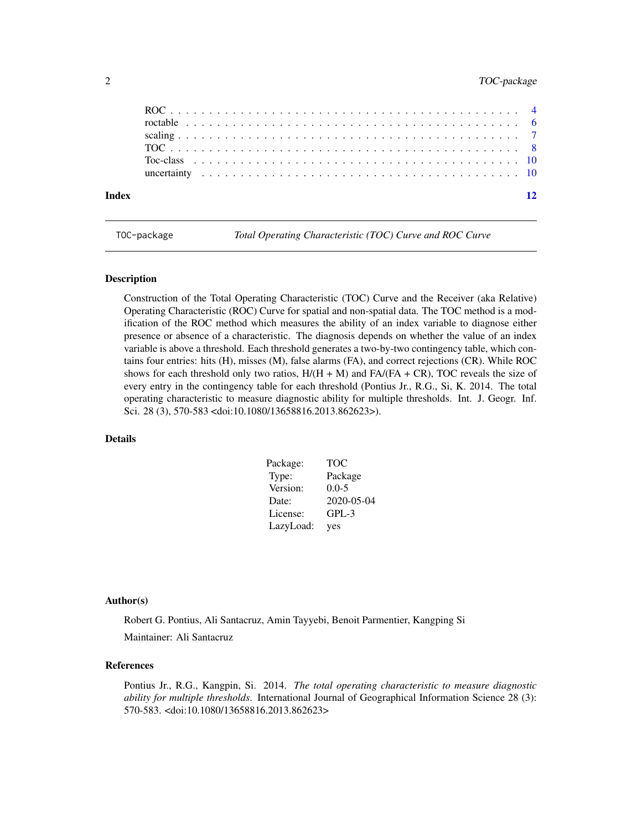# <span id="page-1-0"></span>2 TOC-package

| Index |  |  |  |  |  |  |  |  |  |  |  |  |  |  |  |  |  |  |  |  |  |
|-------|--|--|--|--|--|--|--|--|--|--|--|--|--|--|--|--|--|--|--|--|--|
|       |  |  |  |  |  |  |  |  |  |  |  |  |  |  |  |  |  |  |  |  |  |
|       |  |  |  |  |  |  |  |  |  |  |  |  |  |  |  |  |  |  |  |  |  |
|       |  |  |  |  |  |  |  |  |  |  |  |  |  |  |  |  |  |  |  |  |  |
|       |  |  |  |  |  |  |  |  |  |  |  |  |  |  |  |  |  |  |  |  |  |
|       |  |  |  |  |  |  |  |  |  |  |  |  |  |  |  |  |  |  |  |  |  |
|       |  |  |  |  |  |  |  |  |  |  |  |  |  |  |  |  |  |  |  |  |  |

TOC-package *Total Operating Characteristic (TOC) Curve and ROC Curve*

# Description

Construction of the Total Operating Characteristic (TOC) Curve and the Receiver (aka Relative) Operating Characteristic (ROC) Curve for spatial and non-spatial data. The TOC method is a modification of the ROC method which measures the ability of an index variable to diagnose either presence or absence of a characteristic. The diagnosis depends on whether the value of an index variable is above a threshold. Each threshold generates a two-by-two contingency table, which contains four entries: hits (H), misses (M), false alarms (FA), and correct rejections (CR). While ROC shows for each threshold only two ratios,  $H/(H + M)$  and  $FA/(FA + CR)$ , TOC reveals the size of every entry in the contingency table for each threshold (Pontius Jr., R.G., Si, K. 2014. The total operating characteristic to measure diagnostic ability for multiple thresholds. Int. J. Geogr. Inf. Sci. 28 (3), 570-583 <doi:10.1080/13658816.2013.862623>).

# Details

| Package:  | <b>TOC</b> |
|-----------|------------|
| Type:     | Package    |
| Version:  | $0.0 - 5$  |
| Date:     | 2020-05-04 |
| License:  | $GPL-3$    |
| LazyLoad: | yes        |

#### Author(s)

Robert G. Pontius, Ali Santacruz, Amin Tayyebi, Benoit Parmentier, Kangping Si Maintainer: Ali Santacruz

# References

Pontius Jr., R.G., Kangpin, Si. 2014. *The total operating characteristic to measure diagnostic ability for multiple thresholds*. International Journal of Geographical Information Science 28 (3): 570-583. <doi:10.1080/13658816.2013.862623>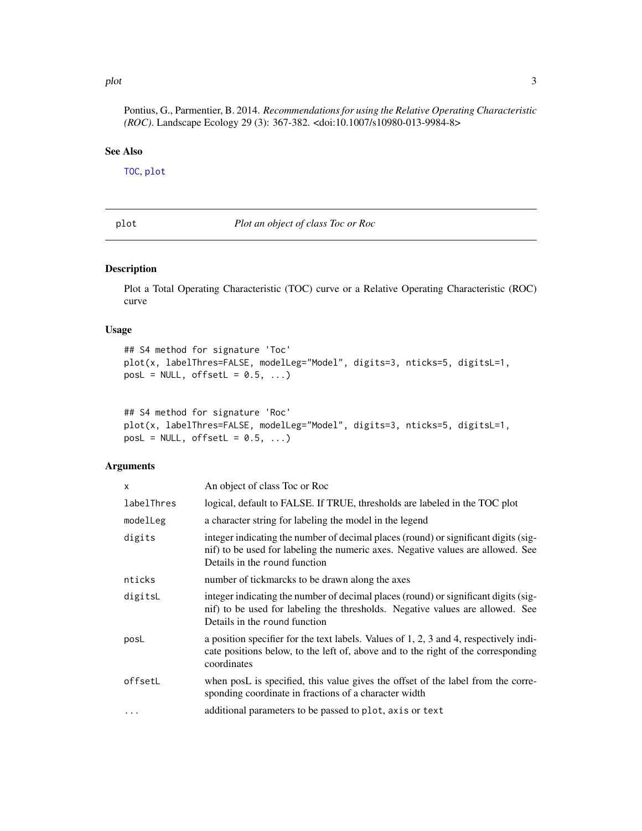#### <span id="page-2-0"></span>plot 3

Pontius, G., Parmentier, B. 2014. *Recommendations for using the Relative Operating Characteristic (ROC)*. Landscape Ecology 29 (3): 367-382. <doi:10.1007/s10980-013-9984-8>

#### See Also

[TOC](#page-7-1), [plot](#page-2-1)

<span id="page-2-1"></span>plot *Plot an object of class Toc or Roc*

#### Description

Plot a Total Operating Characteristic (TOC) curve or a Relative Operating Characteristic (ROC) curve

# Usage

```
## S4 method for signature 'Toc'
plot(x, labelThres=FALSE, modelLeg="Model", digits=3, nticks=5, digitsL=1,
posL = NULL, offsetL = 0.5, ...
```

```
## S4 method for signature 'Roc'
plot(x, labelThres=FALSE, modelLeg="Model", digits=3, nticks=5, digitsL=1,
posL = NULL, offsetL = 0.5, ...
```
# Arguments

| x          | An object of class Toc or Roc                                                                                                                                                                           |
|------------|---------------------------------------------------------------------------------------------------------------------------------------------------------------------------------------------------------|
| labelThres | logical, default to FALSE. If TRUE, thresholds are labeled in the TOC plot                                                                                                                              |
| modelLeg   | a character string for labeling the model in the legend                                                                                                                                                 |
| digits     | integer indicating the number of decimal places (round) or significant digits (sig-<br>nif) to be used for labeling the numeric axes. Negative values are allowed. See<br>Details in the round function |
| nticks     | number of tickmarcks to be drawn along the axes                                                                                                                                                         |
| digitsL    | integer indicating the number of decimal places (round) or significant digits (sig-<br>nif) to be used for labeling the thresholds. Negative values are allowed. See<br>Details in the round function   |
| posL       | a position specifier for the text labels. Values of 1, 2, 3 and 4, respectively indi-<br>cate positions below, to the left of, above and to the right of the corresponding<br>coordinates               |
| offsetL    | when posL is specified, this value gives the offset of the label from the corre-<br>sponding coordinate in fractions of a character width                                                               |
| $\ddotsc$  | additional parameters to be passed to plot, axis or text                                                                                                                                                |
|            |                                                                                                                                                                                                         |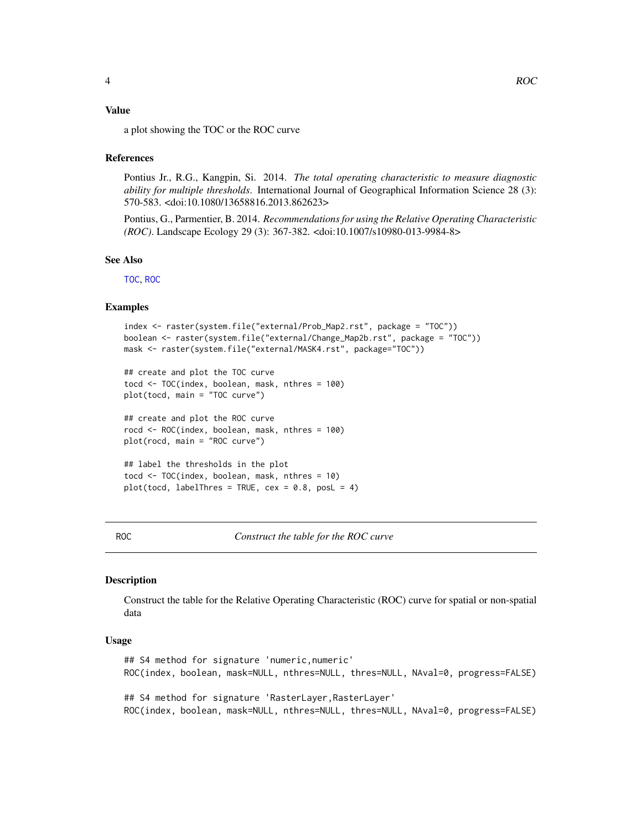#### <span id="page-3-0"></span>Value

a plot showing the TOC or the ROC curve

#### References

Pontius Jr., R.G., Kangpin, Si. 2014. *The total operating characteristic to measure diagnostic ability for multiple thresholds*. International Journal of Geographical Information Science 28 (3): 570-583. <doi:10.1080/13658816.2013.862623>

Pontius, G., Parmentier, B. 2014. *Recommendations for using the Relative Operating Characteristic (ROC)*. Landscape Ecology 29 (3): 367-382. <doi:10.1007/s10980-013-9984-8>

#### See Also

[TOC](#page-7-1), [ROC](#page-3-1)

#### Examples

```
index <- raster(system.file("external/Prob_Map2.rst", package = "TOC"))
boolean <- raster(system.file("external/Change_Map2b.rst", package = "TOC"))
mask <- raster(system.file("external/MASK4.rst", package="TOC"))
```

```
## create and plot the TOC curve
tocd <- TOC(index, boolean, mask, nthres = 100)
plot(tocd, main = "TOC curve")
```

```
## create and plot the ROC curve
rocd <- ROC(index, boolean, mask, nthres = 100)
plot(rocd, main = "ROC curve")
```

```
## label the thresholds in the plot
tocd <- TOC(index, boolean, mask, nthres = 10)
plot(tocd, labelThres = TRUE, cex = 0.8, posL = 4)
```
<span id="page-3-1"></span>ROC *Construct the table for the ROC curve*

#### **Description**

Construct the table for the Relative Operating Characteristic (ROC) curve for spatial or non-spatial data

### Usage

## S4 method for signature 'numeric,numeric' ROC(index, boolean, mask=NULL, nthres=NULL, thres=NULL, NAval=0, progress=FALSE) ## S4 method for signature 'RasterLayer,RasterLayer'

ROC(index, boolean, mask=NULL, nthres=NULL, thres=NULL, NAval=0, progress=FALSE)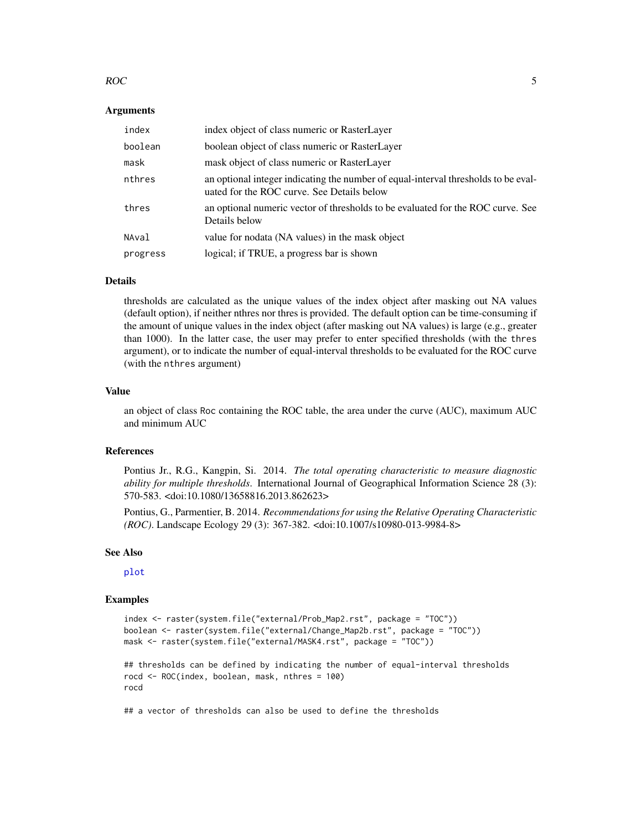#### <span id="page-4-0"></span> $ROC$  5

### Arguments

| index    | index object of class numeric or RasterLayer                                                                                     |
|----------|----------------------------------------------------------------------------------------------------------------------------------|
| boolean  | boolean object of class numeric or RasterLayer                                                                                   |
| mask     | mask object of class numeric or RasterLayer                                                                                      |
| nthres   | an optional integer indicating the number of equal-interval thresholds to be eval-<br>uated for the ROC curve. See Details below |
| thres    | an optional numeric vector of thresholds to be evaluated for the ROC curve. See<br>Details below                                 |
| NAval    | value for nodata (NA values) in the mask object                                                                                  |
| progress | logical; if TRUE, a progress bar is shown                                                                                        |

#### Details

thresholds are calculated as the unique values of the index object after masking out NA values (default option), if neither nthres nor thres is provided. The default option can be time-consuming if the amount of unique values in the index object (after masking out NA values) is large (e.g., greater than 1000). In the latter case, the user may prefer to enter specified thresholds (with the thres argument), or to indicate the number of equal-interval thresholds to be evaluated for the ROC curve (with the nthres argument)

#### Value

an object of class Roc containing the ROC table, the area under the curve (AUC), maximum AUC and minimum AUC

#### References

Pontius Jr., R.G., Kangpin, Si. 2014. *The total operating characteristic to measure diagnostic ability for multiple thresholds*. International Journal of Geographical Information Science 28 (3): 570-583. <doi:10.1080/13658816.2013.862623>

Pontius, G., Parmentier, B. 2014. *Recommendations for using the Relative Operating Characteristic (ROC)*. Landscape Ecology 29 (3): 367-382. <doi:10.1007/s10980-013-9984-8>

#### See Also

[plot](#page-2-1)

#### Examples

```
index <- raster(system.file("external/Prob_Map2.rst", package = "TOC"))
boolean <- raster(system.file("external/Change_Map2b.rst", package = "TOC"))
mask <- raster(system.file("external/MASK4.rst", package = "TOC"))
```
## thresholds can be defined by indicating the number of equal-interval thresholds rocd <- ROC(index, boolean, mask, nthres = 100) rocd

## a vector of thresholds can also be used to define the thresholds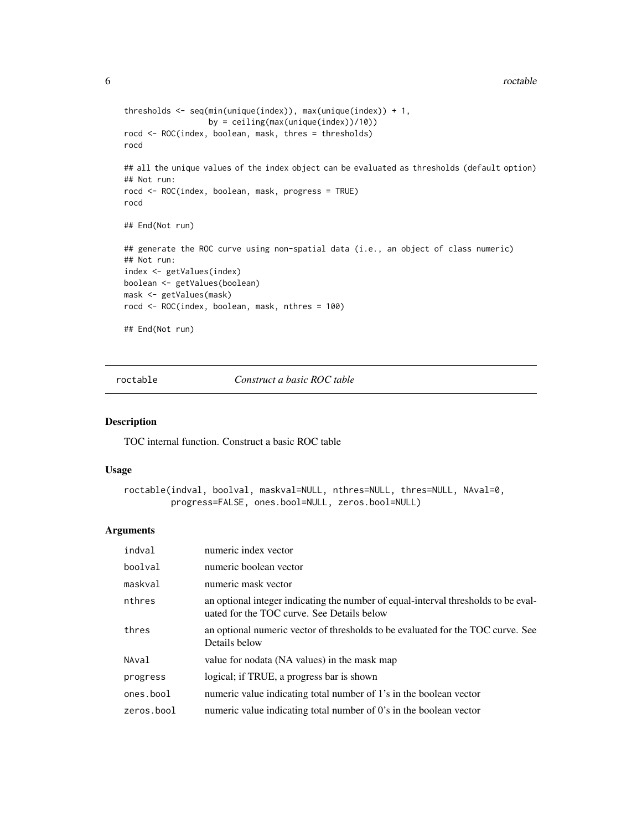```
thresholds <- seq(min(unique(index)), max(unique(index)) + 1,
                  by = ceiling(max(unique(index))/10))
rocd <- ROC(index, boolean, mask, thres = thresholds)
rocd
## all the unique values of the index object can be evaluated as thresholds (default option)
## Not run:
rocd <- ROC(index, boolean, mask, progress = TRUE)
rocd
## End(Not run)
## generate the ROC curve using non-spatial data (i.e., an object of class numeric)
## Not run:
index <- getValues(index)
boolean <- getValues(boolean)
mask <- getValues(mask)
rocd <- ROC(index, boolean, mask, nthres = 100)
## End(Not run)
```
roctable *Construct a basic ROC table*

# Description

TOC internal function. Construct a basic ROC table

#### Usage

```
roctable(indval, boolval, maskval=NULL, nthres=NULL, thres=NULL, NAval=0,
        progress=FALSE, ones.bool=NULL, zeros.bool=NULL)
```
#### Arguments

| indval     | numeric index vector                                                                                                             |
|------------|----------------------------------------------------------------------------------------------------------------------------------|
| boolval    | numeric boolean vector                                                                                                           |
| maskval    | numeric mask vector                                                                                                              |
| nthres     | an optional integer indicating the number of equal-interval thresholds to be eval-<br>uated for the TOC curve. See Details below |
| thres      | an optional numeric vector of thresholds to be evaluated for the TOC curve. See<br>Details below                                 |
| NAval      | value for nodata (NA values) in the mask map                                                                                     |
| progress   | logical; if TRUE, a progress bar is shown                                                                                        |
| ones.bool  | numeric value indicating total number of 1's in the boolean vector                                                               |
| zeros.bool | numeric value indicating total number of 0's in the boolean vector                                                               |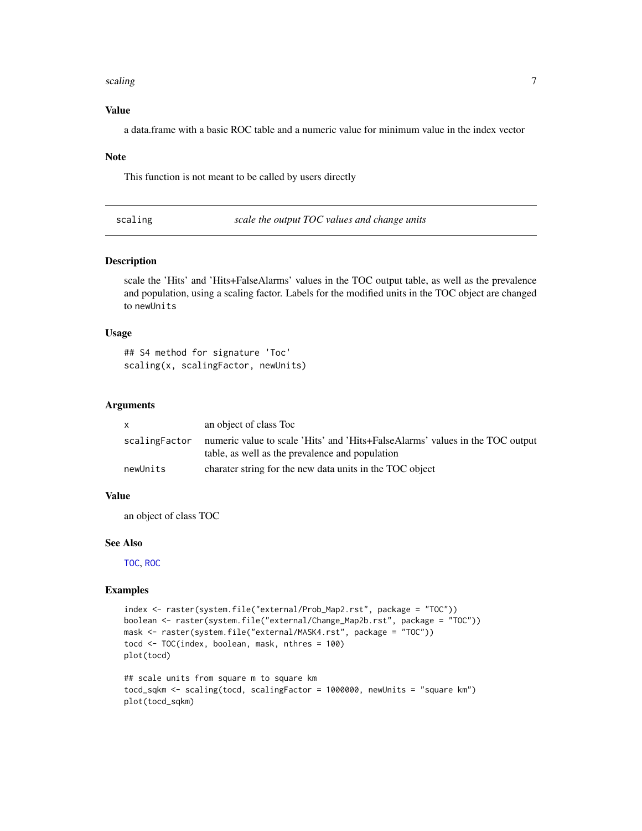#### <span id="page-6-0"></span>scaling 7 and 2008 and 2008 and 2008 and 2008 and 2008 and 2008 and 2008 and 2008 and 2008 and 2008 and 2008 and 2008 and 2008 and 2008 and 2008 and 2008 and 2008 and 2008 and 2008 and 2008 and 2008 and 2008 and 2008 and 2

# Value

a data.frame with a basic ROC table and a numeric value for minimum value in the index vector

#### Note

This function is not meant to be called by users directly

scaling *scale the output TOC values and change units*

### Description

scale the 'Hits' and 'Hits+FalseAlarms' values in the TOC output table, as well as the prevalence and population, using a scaling factor. Labels for the modified units in the TOC object are changed to newUnits

#### Usage

```
## S4 method for signature 'Toc'
scaling(x, scalingFactor, newUnits)
```
# Arguments

|               | an object of class Toc                                                                                                           |
|---------------|----------------------------------------------------------------------------------------------------------------------------------|
| scalingFactor | numeric value to scale 'Hits' and 'Hits+FalseAlarms' values in the TOC output<br>table, as well as the prevalence and population |
| newUnits      | charater string for the new data units in the TOC object                                                                         |

# Value

an object of class TOC

# See Also

[TOC](#page-7-1), [ROC](#page-3-1)

#### Examples

```
index <- raster(system.file("external/Prob_Map2.rst", package = "TOC"))
boolean <- raster(system.file("external/Change_Map2b.rst", package = "TOC"))
mask <- raster(system.file("external/MASK4.rst", package = "TOC"))
tocd <- TOC(index, boolean, mask, nthres = 100)
plot(tocd)
```

```
## scale units from square m to square km
tocd_sqkm <- scaling(tocd, scalingFactor = 1000000, newUnits = "square km")
plot(tocd_sqkm)
```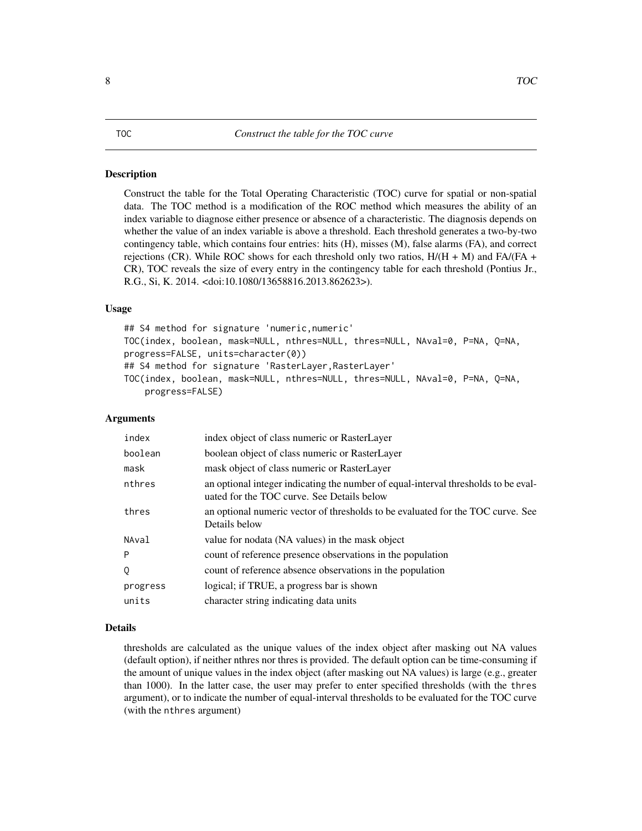#### <span id="page-7-1"></span><span id="page-7-0"></span>Description

Construct the table for the Total Operating Characteristic (TOC) curve for spatial or non-spatial data. The TOC method is a modification of the ROC method which measures the ability of an index variable to diagnose either presence or absence of a characteristic. The diagnosis depends on whether the value of an index variable is above a threshold. Each threshold generates a two-by-two contingency table, which contains four entries: hits (H), misses (M), false alarms (FA), and correct rejections (CR). While ROC shows for each threshold only two ratios,  $H/(H + M)$  and FA/(FA + CR), TOC reveals the size of every entry in the contingency table for each threshold (Pontius Jr., R.G., Si, K. 2014. <doi:10.1080/13658816.2013.862623>).

#### Usage

```
## S4 method for signature 'numeric,numeric'
TOC(index, boolean, mask=NULL, nthres=NULL, thres=NULL, NAval=0, P=NA, Q=NA,
progress=FALSE, units=character(0))
## S4 method for signature 'RasterLayer, RasterLayer'
TOC(index, boolean, mask=NULL, nthres=NULL, thres=NULL, NAval=0, P=NA, Q=NA,
    progress=FALSE)
```
### Arguments

| index    | index object of class numeric or RasterLayer                                                                                     |
|----------|----------------------------------------------------------------------------------------------------------------------------------|
| boolean  | boolean object of class numeric or RasterLayer                                                                                   |
| mask     | mask object of class numeric or RasterLayer                                                                                      |
| nthres   | an optional integer indicating the number of equal-interval thresholds to be eval-<br>uated for the TOC curve. See Details below |
| thres    | an optional numeric vector of thresholds to be evaluated for the TOC curve. See<br>Details below                                 |
| NAval    | value for nodata (NA values) in the mask object                                                                                  |
| P        | count of reference presence observations in the population                                                                       |
| Q        | count of reference absence observations in the population                                                                        |
| progress | logical; if TRUE, a progress bar is shown                                                                                        |
| units    | character string indicating data units                                                                                           |

#### Details

thresholds are calculated as the unique values of the index object after masking out NA values (default option), if neither nthres nor thres is provided. The default option can be time-consuming if the amount of unique values in the index object (after masking out NA values) is large (e.g., greater than 1000). In the latter case, the user may prefer to enter specified thresholds (with the thres argument), or to indicate the number of equal-interval thresholds to be evaluated for the TOC curve (with the nthres argument)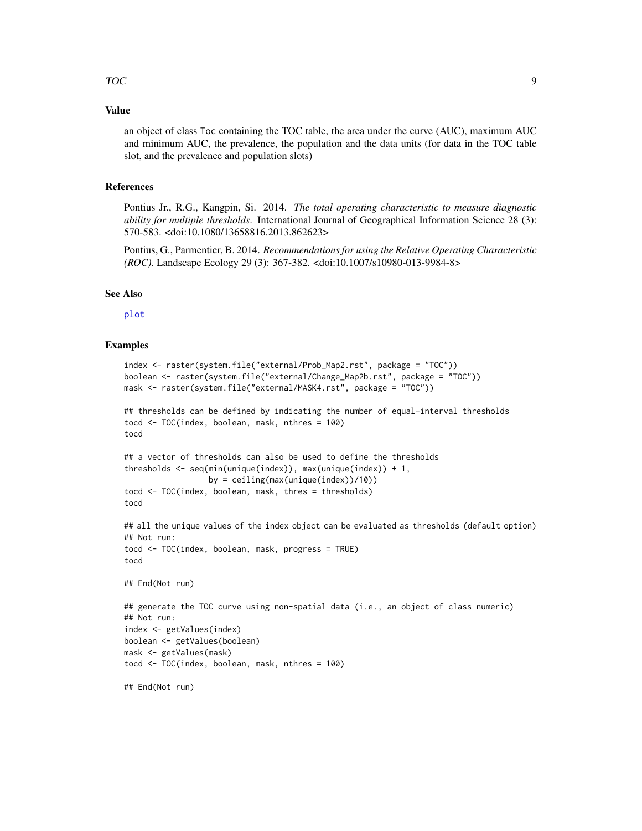#### <span id="page-8-0"></span>Value

an object of class Toc containing the TOC table, the area under the curve (AUC), maximum AUC and minimum AUC, the prevalence, the population and the data units (for data in the TOC table slot, and the prevalence and population slots)

#### References

Pontius Jr., R.G., Kangpin, Si. 2014. *The total operating characteristic to measure diagnostic ability for multiple thresholds*. International Journal of Geographical Information Science 28 (3): 570-583. <doi:10.1080/13658816.2013.862623>

Pontius, G., Parmentier, B. 2014. *Recommendations for using the Relative Operating Characteristic (ROC)*. Landscape Ecology 29 (3): 367-382. <doi:10.1007/s10980-013-9984-8>

#### See Also

[plot](#page-2-1)

#### Examples

tocd

```
index <- raster(system.file("external/Prob_Map2.rst", package = "TOC"))
boolean <- raster(system.file("external/Change_Map2b.rst", package = "TOC"))
mask <- raster(system.file("external/MASK4.rst", package = "TOC"))
```

```
## thresholds can be defined by indicating the number of equal-interval thresholds
tocd <- TOC(index, boolean, mask, nthres = 100)
tocd
```

```
## a vector of thresholds can also be used to define the thresholds
thresholds <- seq(min(unique(index)), max(unique(index)) + 1,
                 by = ceiling(max(unique(index))/10))
tocd <- TOC(index, boolean, mask, thres = thresholds)
```

```
## all the unique values of the index object can be evaluated as thresholds (default option)
## Not run:
tocd <- TOC(index, boolean, mask, progress = TRUE)
tocd
## End(Not run)
```

```
## generate the TOC curve using non-spatial data (i.e., an object of class numeric)
## Not run:
index <- getValues(index)
boolean <- getValues(boolean)
mask <- getValues(mask)
tocd <- TOC(index, boolean, mask, nthres = 100)
```

```
## End(Not run)
```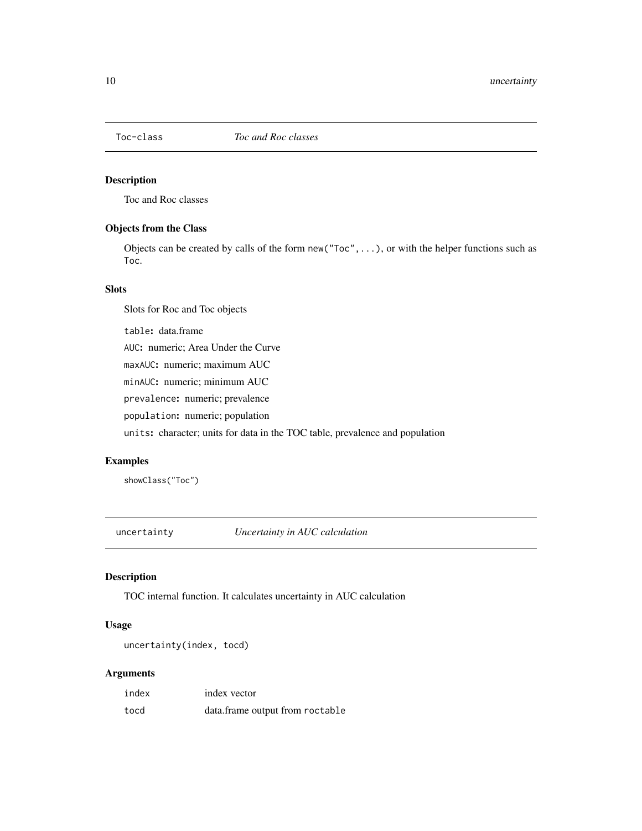<span id="page-9-0"></span>

# Description

Toc and Roc classes

# Objects from the Class

Objects can be created by calls of the form  $new("Toc", \ldots)$ , or with the helper functions such as Toc.

# Slots

Slots for Roc and Toc objects

table: data.frame

AUC: numeric; Area Under the Curve

maxAUC: numeric; maximum AUC

minAUC: numeric; minimum AUC

prevalence: numeric; prevalence

population: numeric; population

units: character; units for data in the TOC table, prevalence and population

# Examples

showClass("Toc")

uncertainty *Uncertainty in AUC calculation*

# Description

TOC internal function. It calculates uncertainty in AUC calculation

### Usage

uncertainty(index, tocd)

# Arguments

| index | index vector                    |
|-------|---------------------------------|
| tocd  | data.frame output from roctable |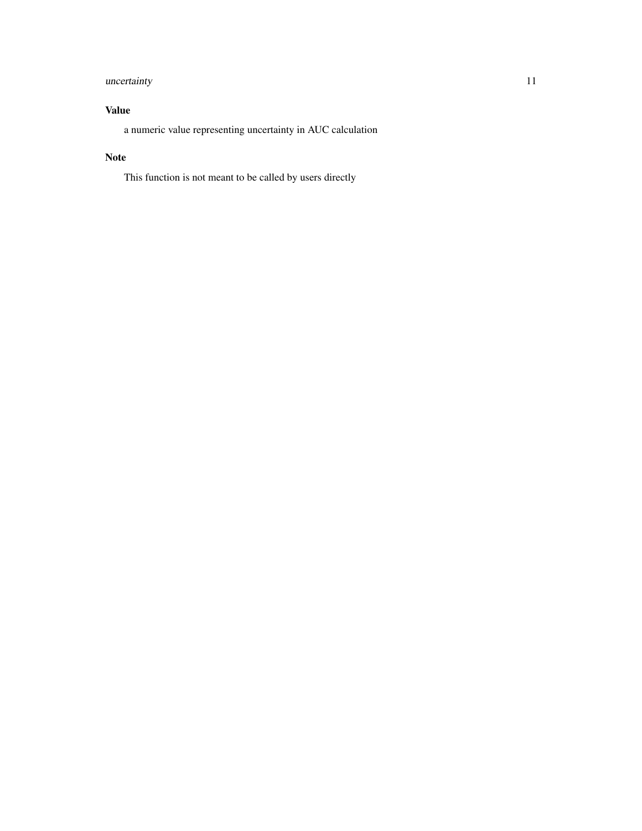# uncertainty 11

# Value

a numeric value representing uncertainty in AUC calculation

# Note

This function is not meant to be called by users directly